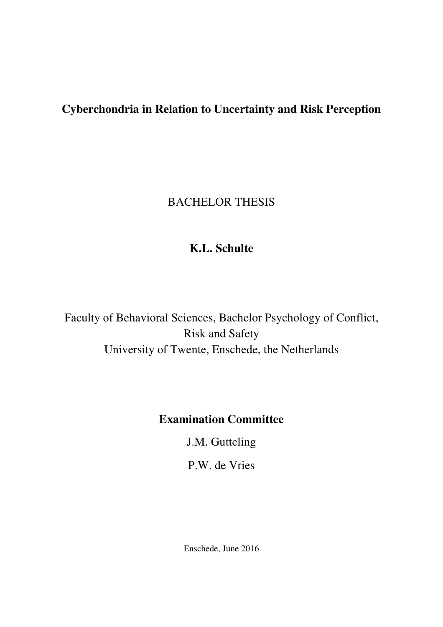# **Cyberchondria in Relation to Uncertainty and Risk Perception**

# BACHELOR THESIS

# **K.L. Schulte**

Faculty of Behavioral Sciences, Bachelor Psychology of Conflict, Risk and Safety University of Twente, Enschede, the Netherlands

# **Examination Committee**

J.M. Gutteling

P.W. de Vries

Enschede, June 2016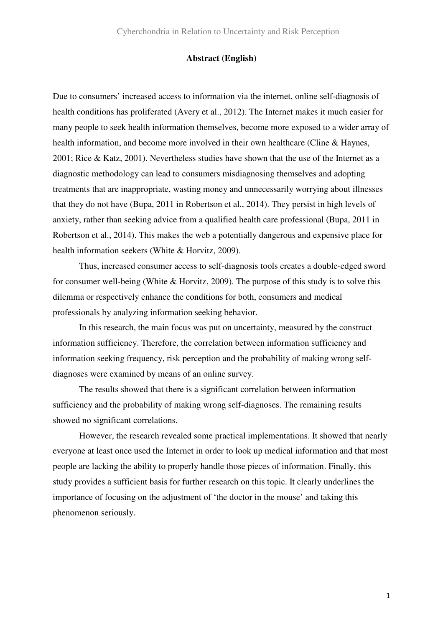## **Abstract (English)**

Due to consumers' increased access to information via the internet, online self-diagnosis of health conditions has proliferated (Avery et al., 2012). The Internet makes it much easier for many people to seek health information themselves, become more exposed to a wider array of health information, and become more involved in their own healthcare (Cline & Haynes, 2001; Rice & Katz, 2001). Nevertheless studies have shown that the use of the Internet as a diagnostic methodology can lead to consumers misdiagnosing themselves and adopting treatments that are inappropriate, wasting money and unnecessarily worrying about illnesses that they do not have (Bupa, 2011 in Robertson et al., 2014). They persist in high levels of anxiety, rather than seeking advice from a qualified health care professional (Bupa, 2011 in Robertson et al., 2014). This makes the web a potentially dangerous and expensive place for health information seekers (White & Horvitz, 2009).

 Thus, increased consumer access to self-diagnosis tools creates a double-edged sword for consumer well-being (White & Horvitz, 2009). The purpose of this study is to solve this dilemma or respectively enhance the conditions for both, consumers and medical professionals by analyzing information seeking behavior.

 In this research, the main focus was put on uncertainty, measured by the construct information sufficiency. Therefore, the correlation between information sufficiency and information seeking frequency, risk perception and the probability of making wrong selfdiagnoses were examined by means of an online survey.

 The results showed that there is a significant correlation between information sufficiency and the probability of making wrong self-diagnoses. The remaining results showed no significant correlations.

 However, the research revealed some practical implementations. It showed that nearly everyone at least once used the Internet in order to look up medical information and that most people are lacking the ability to properly handle those pieces of information. Finally, this study provides a sufficient basis for further research on this topic. It clearly underlines the importance of focusing on the adjustment of 'the doctor in the mouse' and taking this phenomenon seriously.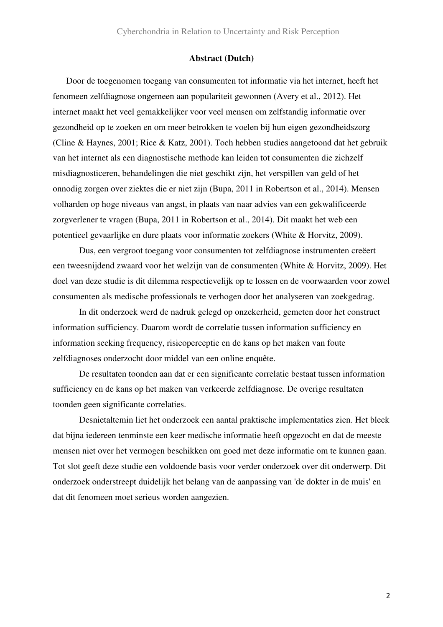## **Abstract (Dutch)**

Door de toegenomen toegang van consumenten tot informatie via het internet, heeft het fenomeen zelfdiagnose ongemeen aan populariteit gewonnen (Avery et al., 2012). Het internet maakt het veel gemakkelijker voor veel mensen om zelfstandig informatie over gezondheid op te zoeken en om meer betrokken te voelen bij hun eigen gezondheidszorg (Cline & Haynes, 2001; Rice & Katz, 2001). Toch hebben studies aangetoond dat het gebruik van het internet als een diagnostische methode kan leiden tot consumenten die zichzelf misdiagnosticeren, behandelingen die niet geschikt zijn, het verspillen van geld of het onnodig zorgen over ziektes die er niet zijn (Bupa, 2011 in Robertson et al., 2014). Mensen volharden op hoge niveaus van angst, in plaats van naar advies van een gekwalificeerde zorgverlener te vragen (Bupa, 2011 in Robertson et al., 2014). Dit maakt het web een potentieel gevaarlijke en dure plaats voor informatie zoekers (White & Horvitz, 2009).

 Dus, een vergroot toegang voor consumenten tot zelfdiagnose instrumenten creëert een tweesnijdend zwaard voor het welzijn van de consumenten (White & Horvitz, 2009). Het doel van deze studie is dit dilemma respectievelijk op te lossen en de voorwaarden voor zowel consumenten als medische professionals te verhogen door het analyseren van zoekgedrag.

 In dit onderzoek werd de nadruk gelegd op onzekerheid, gemeten door het construct information sufficiency. Daarom wordt de correlatie tussen information sufficiency en information seeking frequency, risicoperceptie en de kans op het maken van foute zelfdiagnoses onderzocht door middel van een online enquête.

 De resultaten toonden aan dat er een significante correlatie bestaat tussen information sufficiency en de kans op het maken van verkeerde zelfdiagnose. De overige resultaten toonden geen significante correlaties.

 Desnietaltemin liet het onderzoek een aantal praktische implementaties zien. Het bleek dat bijna iedereen tenminste een keer medische informatie heeft opgezocht en dat de meeste mensen niet over het vermogen beschikken om goed met deze informatie om te kunnen gaan. Tot slot geeft deze studie een voldoende basis voor verder onderzoek over dit onderwerp. Dit onderzoek onderstreept duidelijk het belang van de aanpassing van 'de dokter in de muis' en dat dit fenomeen moet serieus worden aangezien.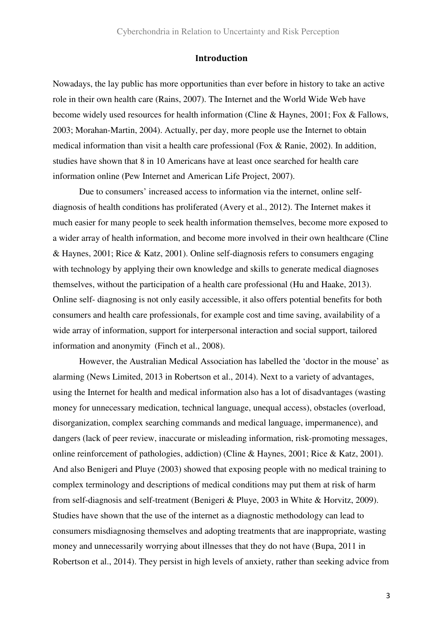#### **Introduction**

Nowadays, the lay public has more opportunities than ever before in history to take an active role in their own health care (Rains, 2007). The Internet and the World Wide Web have become widely used resources for health information (Cline & Haynes, 2001; Fox & Fallows, 2003; Morahan-Martin, 2004). Actually, per day, more people use the Internet to obtain medical information than visit a health care professional (Fox & Ranie, 2002). In addition, studies have shown that 8 in 10 Americans have at least once searched for health care information online (Pew Internet and American Life Project, 2007).

Due to consumers' increased access to information via the internet, online selfdiagnosis of health conditions has proliferated (Avery et al., 2012). The Internet makes it much easier for many people to seek health information themselves, become more exposed to a wider array of health information, and become more involved in their own healthcare (Cline & Haynes, 2001; Rice & Katz, 2001). Online self-diagnosis refers to consumers engaging with technology by applying their own knowledge and skills to generate medical diagnoses themselves, without the participation of a health care professional (Hu and Haake, 2013). Online self- diagnosing is not only easily accessible, it also offers potential benefits for both consumers and health care professionals, for example cost and time saving, availability of a wide array of information, support for interpersonal interaction and social support, tailored information and anonymity (Finch et al., 2008).

However, the Australian Medical Association has labelled the 'doctor in the mouse' as alarming (News Limited, 2013 in Robertson et al., 2014). Next to a variety of advantages, using the Internet for health and medical information also has a lot of disadvantages (wasting money for unnecessary medication, technical language, unequal access), obstacles (overload, disorganization, complex searching commands and medical language, impermanence), and dangers (lack of peer review, inaccurate or misleading information, risk-promoting messages, online reinforcement of pathologies, addiction) (Cline & Haynes, 2001; Rice & Katz, 2001). And also Benigeri and Pluye (2003) showed that exposing people with no medical training to complex terminology and descriptions of medical conditions may put them at risk of harm from self-diagnosis and self-treatment (Benigeri & Pluye, 2003 in White & Horvitz, 2009). Studies have shown that the use of the internet as a diagnostic methodology can lead to consumers misdiagnosing themselves and adopting treatments that are inappropriate, wasting money and unnecessarily worrying about illnesses that they do not have (Bupa, 2011 in Robertson et al., 2014). They persist in high levels of anxiety, rather than seeking advice from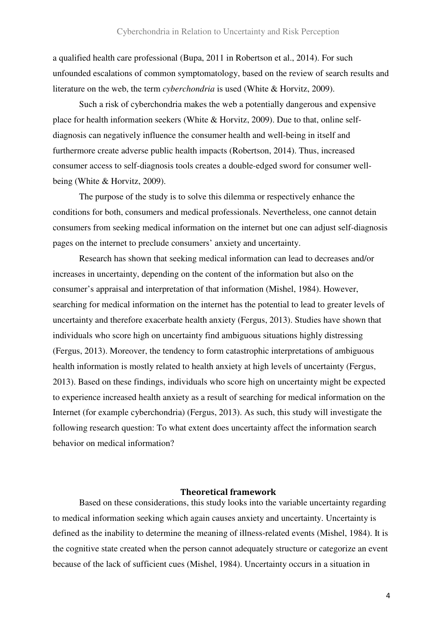a qualified health care professional (Bupa, 2011 in Robertson et al., 2014). For such unfounded escalations of common symptomatology, based on the review of search results and literature on the web, the term *cyberchondria* is used (White & Horvitz, 2009).

Such a risk of cyberchondria makes the web a potentially dangerous and expensive place for health information seekers (White & Horvitz, 2009). Due to that, online selfdiagnosis can negatively influence the consumer health and well-being in itself and furthermore create adverse public health impacts (Robertson, 2014). Thus, increased consumer access to self-diagnosis tools creates a double-edged sword for consumer wellbeing (White & Horvitz, 2009).

 The purpose of the study is to solve this dilemma or respectively enhance the conditions for both, consumers and medical professionals. Nevertheless, one cannot detain consumers from seeking medical information on the internet but one can adjust self-diagnosis pages on the internet to preclude consumers' anxiety and uncertainty.

 Research has shown that seeking medical information can lead to decreases and/or increases in uncertainty, depending on the content of the information but also on the consumer's appraisal and interpretation of that information (Mishel, 1984). However, searching for medical information on the internet has the potential to lead to greater levels of uncertainty and therefore exacerbate health anxiety (Fergus, 2013). Studies have shown that individuals who score high on uncertainty find ambiguous situations highly distressing (Fergus, 2013). Moreover, the tendency to form catastrophic interpretations of ambiguous health information is mostly related to health anxiety at high levels of uncertainty (Fergus, 2013). Based on these findings, individuals who score high on uncertainty might be expected to experience increased health anxiety as a result of searching for medical information on the Internet (for example cyberchondria) (Fergus, 2013). As such, this study will investigate the following research question: To what extent does uncertainty affect the information search behavior on medical information?

## **Theoretical framework**

Based on these considerations, this study looks into the variable uncertainty regarding to medical information seeking which again causes anxiety and uncertainty. Uncertainty is defined as the inability to determine the meaning of illness-related events (Mishel, 1984). It is the cognitive state created when the person cannot adequately structure or categorize an event because of the lack of sufficient cues (Mishel, 1984). Uncertainty occurs in a situation in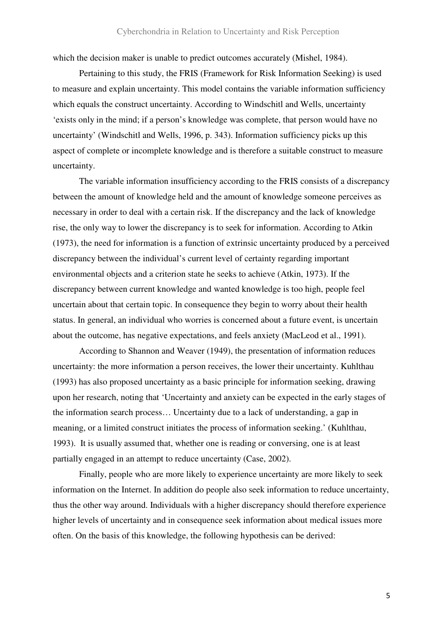which the decision maker is unable to predict outcomes accurately (Mishel, 1984).

 Pertaining to this study, the FRIS (Framework for Risk Information Seeking) is used to measure and explain uncertainty. This model contains the variable information sufficiency which equals the construct uncertainty. According to Windschitl and Wells, uncertainty 'exists only in the mind; if a person's knowledge was complete, that person would have no uncertainty' (Windschitl and Wells, 1996, p. 343). Information sufficiency picks up this aspect of complete or incomplete knowledge and is therefore a suitable construct to measure uncertainty.

 The variable information insufficiency according to the FRIS consists of a discrepancy between the amount of knowledge held and the amount of knowledge someone perceives as necessary in order to deal with a certain risk. If the discrepancy and the lack of knowledge rise, the only way to lower the discrepancy is to seek for information. According to Atkin (1973), the need for information is a function of extrinsic uncertainty produced by a perceived discrepancy between the individual's current level of certainty regarding important environmental objects and a criterion state he seeks to achieve (Atkin, 1973). If the discrepancy between current knowledge and wanted knowledge is too high, people feel uncertain about that certain topic. In consequence they begin to worry about their health status. In general, an individual who worries is concerned about a future event, is uncertain about the outcome, has negative expectations, and feels anxiety (MacLeod et al., 1991).

 According to Shannon and Weaver (1949), the presentation of information reduces uncertainty: the more information a person receives, the lower their uncertainty. Kuhlthau (1993) has also proposed uncertainty as a basic principle for information seeking, drawing upon her research, noting that 'Uncertainty and anxiety can be expected in the early stages of the information search process… Uncertainty due to a lack of understanding, a gap in meaning, or a limited construct initiates the process of information seeking.' (Kuhlthau, 1993). It is usually assumed that, whether one is reading or conversing, one is at least partially engaged in an attempt to reduce uncertainty (Case, 2002).

Finally, people who are more likely to experience uncertainty are more likely to seek information on the Internet. In addition do people also seek information to reduce uncertainty, thus the other way around. Individuals with a higher discrepancy should therefore experience higher levels of uncertainty and in consequence seek information about medical issues more often. On the basis of this knowledge, the following hypothesis can be derived: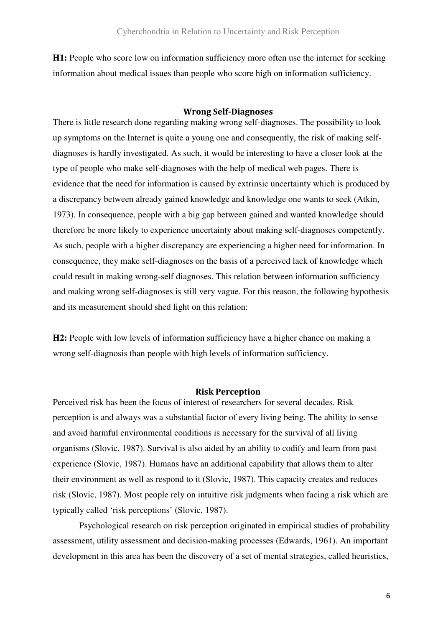**H1:** People who score low on information sufficiency more often use the internet for seeking information about medical issues than people who score high on information sufficiency.

# **Wrong Self-Diagnoses**

There is little research done regarding making wrong self-diagnoses. The possibility to look up symptoms on the Internet is quite a young one and consequently, the risk of making selfdiagnoses is hardly investigated. As such, it would be interesting to have a closer look at the type of people who make self-diagnoses with the help of medical web pages. There is evidence that the need for information is caused by extrinsic uncertainty which is produced by a discrepancy between already gained knowledge and knowledge one wants to seek (Atkin, 1973). In consequence, people with a big gap between gained and wanted knowledge should therefore be more likely to experience uncertainty about making self-diagnoses competently. As such, people with a higher discrepancy are experiencing a higher need for information. In consequence, they make self-diagnoses on the basis of a perceived lack of knowledge which could result in making wrong-self diagnoses. This relation between information sufficiency and making wrong self-diagnoses is still very vague. For this reason, the following hypothesis and its measurement should shed light on this relation:

**H2:** People with low levels of information sufficiency have a higher chance on making a wrong self-diagnosis than people with high levels of information sufficiency.

## **Risk Perception**

Perceived risk has been the focus of interest of researchers for several decades. Risk perception is and always was a substantial factor of every living being. The ability to sense and avoid harmful environmental conditions is necessary for the survival of all living organisms (Slovic, 1987). Survival is also aided by an ability to codify and learn from past experience (Slovic, 1987). Humans have an additional capability that allows them to alter their environment as well as respond to it (Slovic, 1987). This capacity creates and reduces risk (Slovic, 1987). Most people rely on intuitive risk judgments when facing a risk which are typically called 'risk perceptions' (Slovic, 1987).

 Psychological research on risk perception originated in empirical studies of probability assessment, utility assessment and decision-making processes (Edwards, 1961). An important development in this area has been the discovery of a set of mental strategies, called heuristics,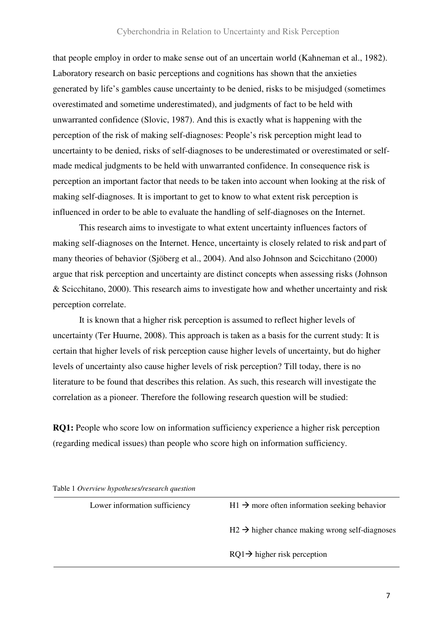that people employ in order to make sense out of an uncertain world (Kahneman et al., 1982). Laboratory research on basic perceptions and cognitions has shown that the anxieties generated by life's gambles cause uncertainty to be denied, risks to be misjudged (sometimes overestimated and sometime underestimated), and judgments of fact to be held with unwarranted confidence (Slovic, 1987). And this is exactly what is happening with the perception of the risk of making self-diagnoses: People's risk perception might lead to uncertainty to be denied, risks of self-diagnoses to be underestimated or overestimated or selfmade medical judgments to be held with unwarranted confidence. In consequence risk is perception an important factor that needs to be taken into account when looking at the risk of making self-diagnoses. It is important to get to know to what extent risk perception is influenced in order to be able to evaluate the handling of self-diagnoses on the Internet.

 This research aims to investigate to what extent uncertainty influences factors of making self-diagnoses on the Internet. Hence, uncertainty is closely related to risk and part of many theories of behavior (Sjöberg et al., 2004). And also Johnson and Scicchitano (2000) argue that risk perception and uncertainty are distinct concepts when assessing risks (Johnson & Scicchitano, 2000). This research aims to investigate how and whether uncertainty and risk perception correlate.

 It is known that a higher risk perception is assumed to reflect higher levels of uncertainty (Ter Huurne, 2008). This approach is taken as a basis for the current study: It is certain that higher levels of risk perception cause higher levels of uncertainty, but do higher levels of uncertainty also cause higher levels of risk perception? Till today, there is no literature to be found that describes this relation. As such, this research will investigate the correlation as a pioneer. Therefore the following research question will be studied:

**RQ1:** People who score low on information sufficiency experience a higher risk perception (regarding medical issues) than people who score high on information sufficiency.

Lower information sufficiency  $H1 \rightarrow \text{more}$  often information seeking behavior  $H2 \rightarrow h$  higher chance making wrong self-diagnoses  $RQ1 \rightarrow h$ igher risk perception

Table 1 *Overview hypotheses/research question*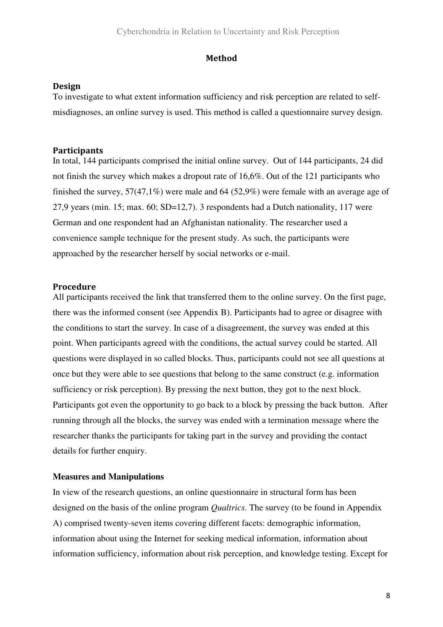### **Method**

## **Design**

To investigate to what extent information sufficiency and risk perception are related to selfmisdiagnoses, an online survey is used. This method is called a questionnaire survey design.

## **Participants**

In total, 144 participants comprised the initial online survey. Out of 144 participants, 24 did not finish the survey which makes a dropout rate of 16,6%. Out of the 121 participants who finished the survey, 57(47,1%) were male and 64 (52,9%) were female with an average age of 27,9 years (min. 15; max. 60; SD=12,7). 3 respondents had a Dutch nationality, 117 were German and one respondent had an Afghanistan nationality. The researcher used a convenience sample technique for the present study. As such, the participants were approached by the researcher herself by social networks or e-mail.

## **Procedure**

All participants received the link that transferred them to the online survey. On the first page, there was the informed consent (see Appendix B). Participants had to agree or disagree with the conditions to start the survey. In case of a disagreement, the survey was ended at this point. When participants agreed with the conditions, the actual survey could be started. All questions were displayed in so called blocks. Thus, participants could not see all questions at once but they were able to see questions that belong to the same construct (e.g. information sufficiency or risk perception). By pressing the next button, they got to the next block. Participants got even the opportunity to go back to a block by pressing the back button. After running through all the blocks, the survey was ended with a termination message where the researcher thanks the participants for taking part in the survey and providing the contact details for further enquiry.

#### **Measures and Manipulations**

In view of the research questions, an online questionnaire in structural form has been designed on the basis of the online program *Qualtrics*. The survey (to be found in Appendix A) comprised twenty-seven items covering different facets: demographic information, information about using the Internet for seeking medical information, information about information sufficiency, information about risk perception, and knowledge testing. Except for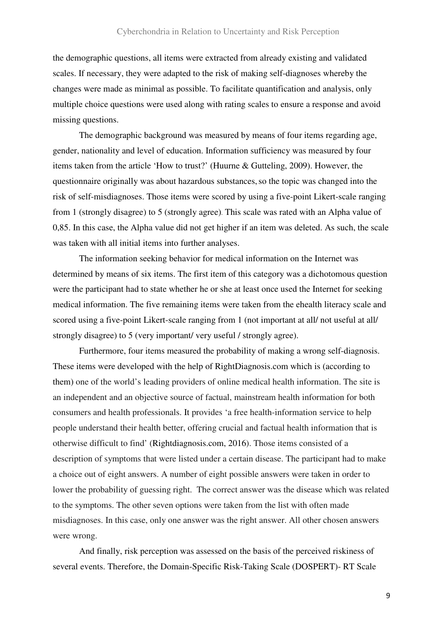the demographic questions, all items were extracted from already existing and validated scales. If necessary, they were adapted to the risk of making self-diagnoses whereby the changes were made as minimal as possible. To facilitate quantification and analysis, only multiple choice questions were used along with rating scales to ensure a response and avoid missing questions.

 The demographic background was measured by means of four items regarding age, gender, nationality and level of education. Information sufficiency was measured by four items taken from the article 'How to trust?' (Huurne & Gutteling, 2009). However, the questionnaire originally was about hazardous substances,so the topic was changed into the risk of self-misdiagnoses. Those items were scored by using a five-point Likert-scale ranging from 1 (strongly disagree) to 5 (strongly agree). This scale was rated with an Alpha value of 0,85. In this case, the Alpha value did not get higher if an item was deleted. As such, the scale was taken with all initial items into further analyses.

 The information seeking behavior for medical information on the Internet was determined by means of six items. The first item of this category was a dichotomous question were the participant had to state whether he or she at least once used the Internet for seeking medical information. The five remaining items were taken from the ehealth literacy scale and scored using a five-point Likert-scale ranging from 1 (not important at all/ not useful at all/ strongly disagree) to 5 (very important/ very useful / strongly agree).

 Furthermore, four items measured the probability of making a wrong self-diagnosis. These items were developed with the help of RightDiagnosis.com which is (according to them) one of the world's leading providers of online medical health information. The site is an independent and an objective source of factual, mainstream health information for both consumers and health professionals. It provides 'a free health-information service to help people understand their health better, offering crucial and factual health information that is otherwise difficult to find' (Rightdiagnosis.com, 2016). Those items consisted of a description of symptoms that were listed under a certain disease. The participant had to make a choice out of eight answers. A number of eight possible answers were taken in order to lower the probability of guessing right. The correct answer was the disease which was related to the symptoms. The other seven options were taken from the list with often made misdiagnoses. In this case, only one answer was the right answer. All other chosen answers were wrong.

 And finally, risk perception was assessed on the basis of the perceived riskiness of several events. Therefore, the Domain-Specific Risk-Taking Scale (DOSPERT)- RT Scale

9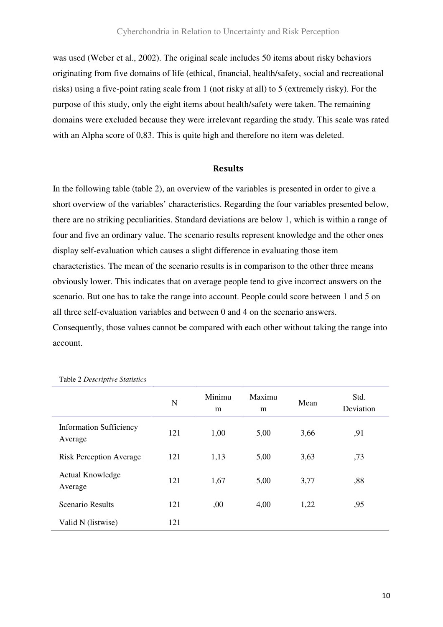was used (Weber et al., 2002). The original scale includes 50 items about risky behaviors originating from five domains of life (ethical, financial, health/safety, social and recreational risks) using a five-point rating scale from 1 (not risky at all) to 5 (extremely risky). For the purpose of this study, only the eight items about health/safety were taken. The remaining domains were excluded because they were irrelevant regarding the study. This scale was rated with an Alpha score of 0,83. This is quite high and therefore no item was deleted.

#### **Results**

In the following table (table 2), an overview of the variables is presented in order to give a short overview of the variables' characteristics. Regarding the four variables presented below, there are no striking peculiarities. Standard deviations are below 1, which is within a range of four and five an ordinary value. The scenario results represent knowledge and the other ones display self-evaluation which causes a slight difference in evaluating those item characteristics. The mean of the scenario results is in comparison to the other three means obviously lower. This indicates that on average people tend to give incorrect answers on the scenario. But one has to take the range into account. People could score between 1 and 5 on all three self-evaluation variables and between 0 and 4 on the scenario answers. Consequently, those values cannot be compared with each other without taking the range into account.

|                                           | N   | Minimu<br>m | Maximu<br>m | Mean | Std.<br>Deviation |
|-------------------------------------------|-----|-------------|-------------|------|-------------------|
| <b>Information Sufficiency</b><br>Average | 121 | 1,00        | 5,00        | 3,66 | ,91               |
| <b>Risk Perception Average</b>            | 121 | 1,13        | 5,00        | 3,63 | ,73               |
| <b>Actual Knowledge</b><br>Average        | 121 | 1,67        | 5,00        | 3,77 | ,88               |
| <b>Scenario Results</b>                   | 121 | ,00         | 4,00        | 1,22 | ,95               |
| Valid N (listwise)                        | 121 |             |             |      |                   |

Table 2 *Descriptive Statistics*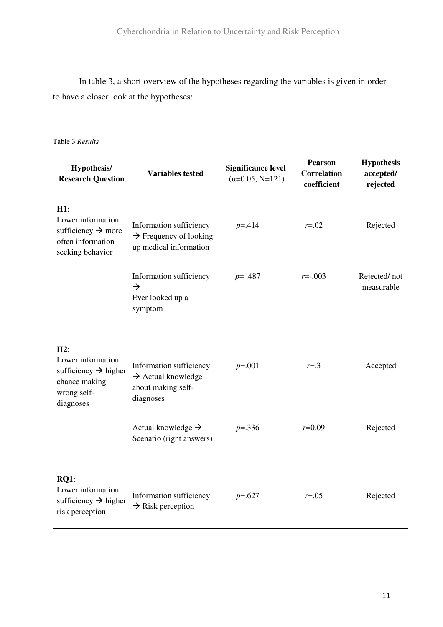In table 3, a short overview of the hypotheses regarding the variables is given in order to have a closer look at the hypotheses:

Table 3 *Results*

| Hypothesis/<br><b>Research Question</b>                                                                   | <b>Variables tested</b>                                                                      | <b>Significance level</b><br>$(\alpha=0.05, N=121)$ | <b>Pearson</b><br><b>Correlation</b><br>coefficient | <b>Hypothesis</b><br>accepted/<br>rejected |  |
|-----------------------------------------------------------------------------------------------------------|----------------------------------------------------------------------------------------------|-----------------------------------------------------|-----------------------------------------------------|--------------------------------------------|--|
| $H1$ :<br>Lower information<br>sufficiency $\rightarrow$ more<br>often information<br>seeking behavior    | Information sufficiency<br>$\rightarrow$ Frequency of looking<br>up medical information      | $p = 0.414$                                         | $r = 0.02$                                          | Rejected                                   |  |
|                                                                                                           | Information sufficiency<br>$\rightarrow$<br>Ever looked up a<br>symptom                      | $p = .487$                                          | $r = -003$                                          | Rejected/not<br>measurable                 |  |
| H2:<br>Lower information<br>sufficiency $\rightarrow$ higher<br>chance making<br>wrong self-<br>diagnoses | Information sufficiency<br>$\rightarrow$ Actual knowledge<br>about making self-<br>diagnoses | $p=.001$                                            | $r = .3$                                            | Accepted                                   |  |
|                                                                                                           | Actual knowledge $\rightarrow$<br>Scenario (right answers)                                   | $p = 336$                                           | $r = 0.09$                                          | Rejected                                   |  |
| RO1:<br>Lower information<br>sufficiency $\rightarrow$ higher<br>risk perception                          | Information sufficiency<br>$\rightarrow$ Risk perception                                     | $p=.627$                                            | $r = .05$                                           | Rejected                                   |  |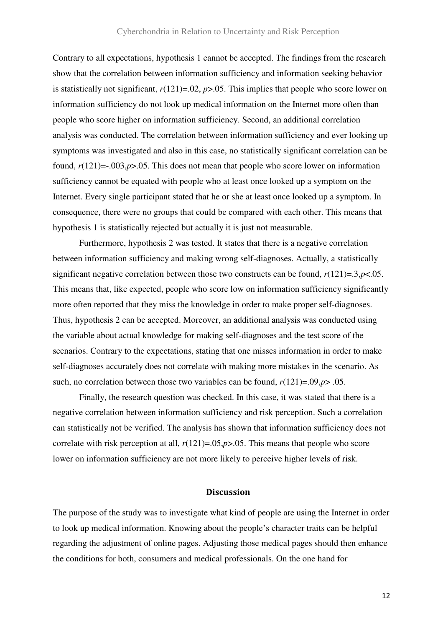Contrary to all expectations, hypothesis 1 cannot be accepted. The findings from the research show that the correlation between information sufficiency and information seeking behavior is statistically not significant,  $r(121)=0.02$ ,  $p>0.05$ . This implies that people who score lower on information sufficiency do not look up medical information on the Internet more often than people who score higher on information sufficiency. Second, an additional correlation analysis was conducted. The correlation between information sufficiency and ever looking up symptoms was investigated and also in this case, no statistically significant correlation can be found, *r*(121)=-.003,*p*>.05. This does not mean that people who score lower on information sufficiency cannot be equated with people who at least once looked up a symptom on the Internet. Every single participant stated that he or she at least once looked up a symptom. In consequence, there were no groups that could be compared with each other. This means that hypothesis 1 is statistically rejected but actually it is just not measurable.

 Furthermore, hypothesis 2 was tested. It states that there is a negative correlation between information sufficiency and making wrong self-diagnoses. Actually, a statistically significant negative correlation between those two constructs can be found,  $r(121)=3.9$  < 05. This means that, like expected, people who score low on information sufficiency significantly more often reported that they miss the knowledge in order to make proper self-diagnoses. Thus, hypothesis 2 can be accepted. Moreover, an additional analysis was conducted using the variable about actual knowledge for making self-diagnoses and the test score of the scenarios. Contrary to the expectations, stating that one misses information in order to make self-diagnoses accurately does not correlate with making more mistakes in the scenario. As such, no correlation between those two variables can be found,  $r(121)=.09, p> .05$ .

 Finally, the research question was checked. In this case, it was stated that there is a negative correlation between information sufficiency and risk perception. Such a correlation can statistically not be verified. The analysis has shown that information sufficiency does not correlate with risk perception at all,  $r(121)=0.05$ ,  $p>0.05$ . This means that people who score lower on information sufficiency are not more likely to perceive higher levels of risk.

#### **Discussion**

The purpose of the study was to investigate what kind of people are using the Internet in order to look up medical information. Knowing about the people's character traits can be helpful regarding the adjustment of online pages. Adjusting those medical pages should then enhance the conditions for both, consumers and medical professionals. On the one hand for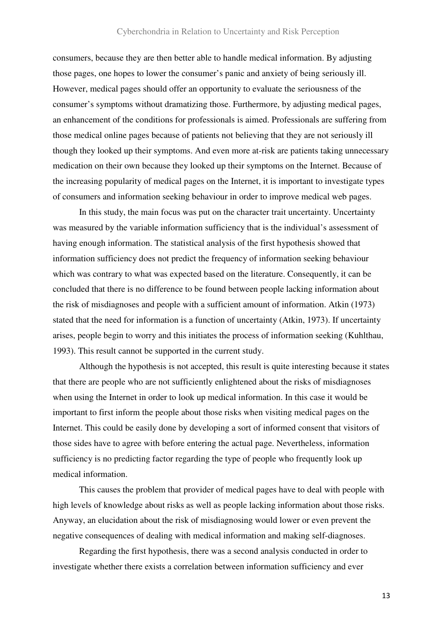## Cyberchondria in Relation to Uncertainty and Risk Perception

consumers, because they are then better able to handle medical information. By adjusting those pages, one hopes to lower the consumer's panic and anxiety of being seriously ill. However, medical pages should offer an opportunity to evaluate the seriousness of the consumer's symptoms without dramatizing those. Furthermore, by adjusting medical pages, an enhancement of the conditions for professionals is aimed. Professionals are suffering from those medical online pages because of patients not believing that they are not seriously ill though they looked up their symptoms. And even more at-risk are patients taking unnecessary medication on their own because they looked up their symptoms on the Internet. Because of the increasing popularity of medical pages on the Internet, it is important to investigate types of consumers and information seeking behaviour in order to improve medical web pages.

 In this study, the main focus was put on the character trait uncertainty. Uncertainty was measured by the variable information sufficiency that is the individual's assessment of having enough information. The statistical analysis of the first hypothesis showed that information sufficiency does not predict the frequency of information seeking behaviour which was contrary to what was expected based on the literature. Consequently, it can be concluded that there is no difference to be found between people lacking information about the risk of misdiagnoses and people with a sufficient amount of information. Atkin (1973) stated that the need for information is a function of uncertainty (Atkin, 1973). If uncertainty arises, people begin to worry and this initiates the process of information seeking (Kuhlthau, 1993). This result cannot be supported in the current study.

 Although the hypothesis is not accepted, this result is quite interesting because it states that there are people who are not sufficiently enlightened about the risks of misdiagnoses when using the Internet in order to look up medical information. In this case it would be important to first inform the people about those risks when visiting medical pages on the Internet. This could be easily done by developing a sort of informed consent that visitors of those sides have to agree with before entering the actual page. Nevertheless, information sufficiency is no predicting factor regarding the type of people who frequently look up medical information.

 This causes the problem that provider of medical pages have to deal with people with high levels of knowledge about risks as well as people lacking information about those risks. Anyway, an elucidation about the risk of misdiagnosing would lower or even prevent the negative consequences of dealing with medical information and making self-diagnoses.

 Regarding the first hypothesis, there was a second analysis conducted in order to investigate whether there exists a correlation between information sufficiency and ever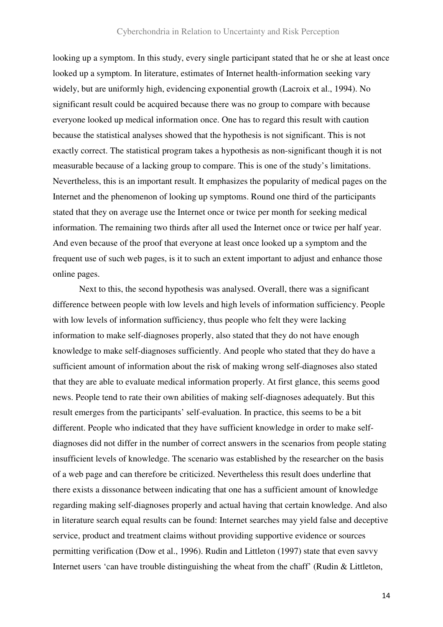looking up a symptom. In this study, every single participant stated that he or she at least once looked up a symptom. In literature, estimates of Internet health-information seeking vary widely, but are uniformly high, evidencing exponential growth (Lacroix et al., 1994). No significant result could be acquired because there was no group to compare with because everyone looked up medical information once. One has to regard this result with caution because the statistical analyses showed that the hypothesis is not significant. This is not exactly correct. The statistical program takes a hypothesis as non-significant though it is not measurable because of a lacking group to compare. This is one of the study's limitations. Nevertheless, this is an important result. It emphasizes the popularity of medical pages on the Internet and the phenomenon of looking up symptoms. Round one third of the participants stated that they on average use the Internet once or twice per month for seeking medical information. The remaining two thirds after all used the Internet once or twice per half year. And even because of the proof that everyone at least once looked up a symptom and the frequent use of such web pages, is it to such an extent important to adjust and enhance those online pages.

 Next to this, the second hypothesis was analysed. Overall, there was a significant difference between people with low levels and high levels of information sufficiency. People with low levels of information sufficiency, thus people who felt they were lacking information to make self-diagnoses properly, also stated that they do not have enough knowledge to make self-diagnoses sufficiently. And people who stated that they do have a sufficient amount of information about the risk of making wrong self-diagnoses also stated that they are able to evaluate medical information properly. At first glance, this seems good news. People tend to rate their own abilities of making self-diagnoses adequately. But this result emerges from the participants' self-evaluation. In practice, this seems to be a bit different. People who indicated that they have sufficient knowledge in order to make selfdiagnoses did not differ in the number of correct answers in the scenarios from people stating insufficient levels of knowledge. The scenario was established by the researcher on the basis of a web page and can therefore be criticized. Nevertheless this result does underline that there exists a dissonance between indicating that one has a sufficient amount of knowledge regarding making self-diagnoses properly and actual having that certain knowledge. And also in literature search equal results can be found: Internet searches may yield false and deceptive service, product and treatment claims without providing supportive evidence or sources permitting verification (Dow et al., 1996). Rudin and Littleton (1997) state that even savvy Internet users 'can have trouble distinguishing the wheat from the chaff' (Rudin & Littleton,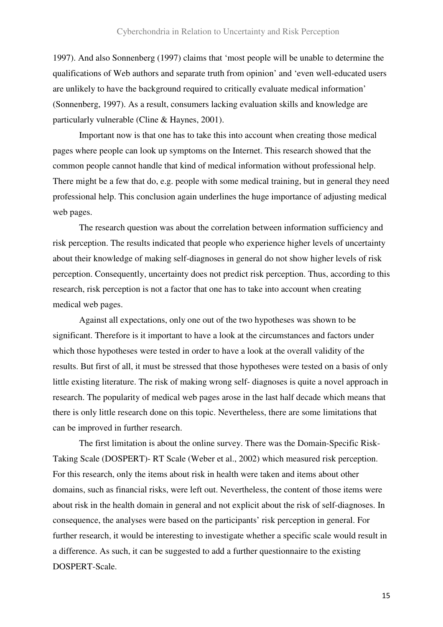1997). And also Sonnenberg (1997) claims that 'most people will be unable to determine the qualifications of Web authors and separate truth from opinion' and 'even well-educated users are unlikely to have the background required to critically evaluate medical information' (Sonnenberg, 1997). As a result, consumers lacking evaluation skills and knowledge are particularly vulnerable (Cline & Haynes, 2001).

 Important now is that one has to take this into account when creating those medical pages where people can look up symptoms on the Internet. This research showed that the common people cannot handle that kind of medical information without professional help. There might be a few that do, e.g. people with some medical training, but in general they need professional help. This conclusion again underlines the huge importance of adjusting medical web pages.

 The research question was about the correlation between information sufficiency and risk perception. The results indicated that people who experience higher levels of uncertainty about their knowledge of making self-diagnoses in general do not show higher levels of risk perception. Consequently, uncertainty does not predict risk perception. Thus, according to this research, risk perception is not a factor that one has to take into account when creating medical web pages.

 Against all expectations, only one out of the two hypotheses was shown to be significant. Therefore is it important to have a look at the circumstances and factors under which those hypotheses were tested in order to have a look at the overall validity of the results. But first of all, it must be stressed that those hypotheses were tested on a basis of only little existing literature. The risk of making wrong self- diagnoses is quite a novel approach in research. The popularity of medical web pages arose in the last half decade which means that there is only little research done on this topic. Nevertheless, there are some limitations that can be improved in further research.

 The first limitation is about the online survey. There was the Domain-Specific Risk-Taking Scale (DOSPERT)- RT Scale (Weber et al., 2002) which measured risk perception. For this research, only the items about risk in health were taken and items about other domains, such as financial risks, were left out. Nevertheless, the content of those items were about risk in the health domain in general and not explicit about the risk of self-diagnoses. In consequence, the analyses were based on the participants' risk perception in general. For further research, it would be interesting to investigate whether a specific scale would result in a difference. As such, it can be suggested to add a further questionnaire to the existing DOSPERT-Scale.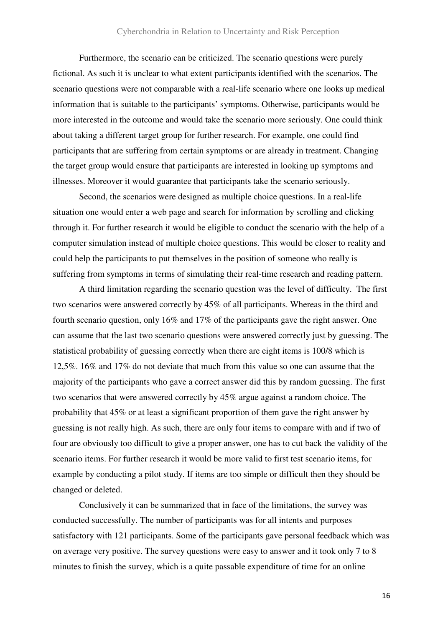## Cyberchondria in Relation to Uncertainty and Risk Perception

 Furthermore, the scenario can be criticized. The scenario questions were purely fictional. As such it is unclear to what extent participants identified with the scenarios. The scenario questions were not comparable with a real-life scenario where one looks up medical information that is suitable to the participants' symptoms. Otherwise, participants would be more interested in the outcome and would take the scenario more seriously. One could think about taking a different target group for further research. For example, one could find participants that are suffering from certain symptoms or are already in treatment. Changing the target group would ensure that participants are interested in looking up symptoms and illnesses. Moreover it would guarantee that participants take the scenario seriously.

 Second, the scenarios were designed as multiple choice questions. In a real-life situation one would enter a web page and search for information by scrolling and clicking through it. For further research it would be eligible to conduct the scenario with the help of a computer simulation instead of multiple choice questions. This would be closer to reality and could help the participants to put themselves in the position of someone who really is suffering from symptoms in terms of simulating their real-time research and reading pattern.

 A third limitation regarding the scenario question was the level of difficulty. The first two scenarios were answered correctly by 45% of all participants. Whereas in the third and fourth scenario question, only 16% and 17% of the participants gave the right answer. One can assume that the last two scenario questions were answered correctly just by guessing. The statistical probability of guessing correctly when there are eight items is 100/8 which is 12,5%. 16% and 17% do not deviate that much from this value so one can assume that the majority of the participants who gave a correct answer did this by random guessing. The first two scenarios that were answered correctly by 45% argue against a random choice. The probability that 45% or at least a significant proportion of them gave the right answer by guessing is not really high. As such, there are only four items to compare with and if two of four are obviously too difficult to give a proper answer, one has to cut back the validity of the scenario items. For further research it would be more valid to first test scenario items, for example by conducting a pilot study. If items are too simple or difficult then they should be changed or deleted.

 Conclusively it can be summarized that in face of the limitations, the survey was conducted successfully. The number of participants was for all intents and purposes satisfactory with 121 participants. Some of the participants gave personal feedback which was on average very positive. The survey questions were easy to answer and it took only 7 to 8 minutes to finish the survey, which is a quite passable expenditure of time for an online

16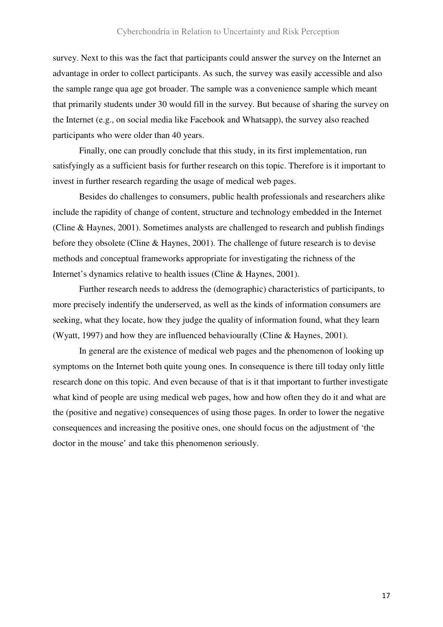survey. Next to this was the fact that participants could answer the survey on the Internet an advantage in order to collect participants. As such, the survey was easily accessible and also the sample range qua age got broader. The sample was a convenience sample which meant that primarily students under 30 would fill in the survey. But because of sharing the survey on the Internet (e.g., on social media like Facebook and Whatsapp), the survey also reached participants who were older than 40 years.

 Finally, one can proudly conclude that this study, in its first implementation, run satisfyingly as a sufficient basis for further research on this topic. Therefore is it important to invest in further research regarding the usage of medical web pages.

 Besides do challenges to consumers, public health professionals and researchers alike include the rapidity of change of content, structure and technology embedded in the Internet (Cline & Haynes, 2001). Sometimes analysts are challenged to research and publish findings before they obsolete (Cline & Haynes, 2001). The challenge of future research is to devise methods and conceptual frameworks appropriate for investigating the richness of the Internet's dynamics relative to health issues (Cline & Haynes, 2001).

 Further research needs to address the (demographic) characteristics of participants, to more precisely indentify the underserved, as well as the kinds of information consumers are seeking, what they locate, how they judge the quality of information found, what they learn (Wyatt, 1997) and how they are influenced behaviourally (Cline & Haynes, 2001).

 In general are the existence of medical web pages and the phenomenon of looking up symptoms on the Internet both quite young ones. In consequence is there till today only little research done on this topic. And even because of that is it that important to further investigate what kind of people are using medical web pages, how and how often they do it and what are the (positive and negative) consequences of using those pages. In order to lower the negative consequences and increasing the positive ones, one should focus on the adjustment of 'the doctor in the mouse' and take this phenomenon seriously.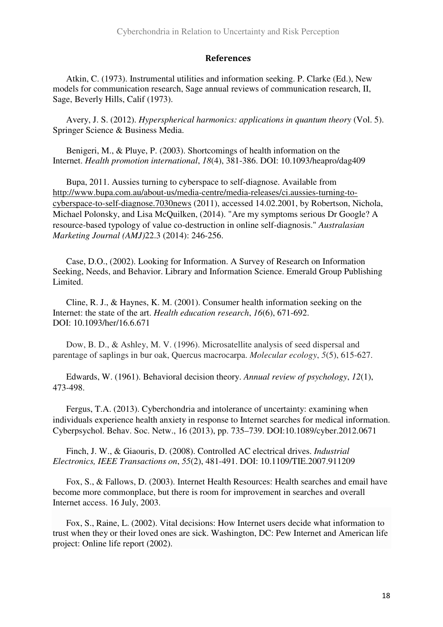## **References**

Atkin, C. (1973). Instrumental utilities and information seeking. P. Clarke (Ed.), New models for communication research, Sage annual reviews of communication research, II, Sage, Beverly Hills, Calif (1973).

Avery, J. S. (2012). *Hyperspherical harmonics: applications in quantum theory* (Vol. 5). Springer Science & Business Media.

Benigeri, M., & Pluye, P. (2003). Shortcomings of health information on the Internet. *Health promotion international*, *18*(4), 381-386. DOI: 10.1093/heapro/dag409

Bupa, 2011. Aussies turning to cyberspace to self-diagnose. Available from http://www.bupa.com.au/about-us/media-centre/media-releases/ci.aussies-turning-tocyberspace-to-self-diagnose.7030news (2011), accessed 14.02.2001, by Robertson, Nichola, Michael Polonsky, and Lisa McQuilken, (2014). "Are my symptoms serious Dr Google? A resource-based typology of value co-destruction in online self-diagnosis." *Australasian Marketing Journal (AMJ)*22.3 (2014): 246-256.

Case, D.O., (2002). Looking for Information. A Survey of Research on Information Seeking, Needs, and Behavior. Library and Information Science. Emerald Group Publishing Limited.

Cline, R. J., & Haynes, K. M. (2001). Consumer health information seeking on the Internet: the state of the art. *Health education research*, *16*(6), 671-692. DOI: 10.1093/her/16.6.671

Dow, B. D., & Ashley, M. V. (1996). Microsatellite analysis of seed dispersal and parentage of saplings in bur oak, Quercus macrocarpa. *Molecular ecology*, *5*(5), 615-627.

Edwards, W. (1961). Behavioral decision theory. *Annual review of psychology*, *12*(1), 473-498.

Fergus, T.A. (2013). Cyberchondria and intolerance of uncertainty: examining when individuals experience health anxiety in response to Internet searches for medical information. Cyberpsychol. Behav. Soc. Netw., 16 (2013), pp. 735–739. DOI:10.1089/cyber.2012.0671

Finch, J. W., & Giaouris, D. (2008). Controlled AC electrical drives. *Industrial Electronics, IEEE Transactions on*, *55*(2), 481-491. DOI: 10.1109/TIE.2007.911209

Fox, S., & Fallows, D. (2003). Internet Health Resources: Health searches and email have become more commonplace, but there is room for improvement in searches and overall Internet access. 16 July, 2003.

Fox, S., Raine, L. (2002). Vital decisions: How Internet users decide what information to trust when they or their loved ones are sick. Washington, DC: Pew Internet and American life project: Online life report (2002).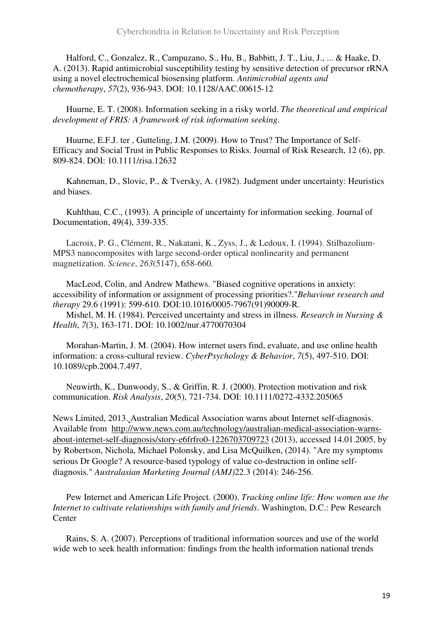Halford, C., Gonzalez, R., Campuzano, S., Hu, B., Babbitt, J. T., Liu, J., ... & Haake, D. A. (2013). Rapid antimicrobial susceptibility testing by sensitive detection of precursor rRNA using a novel electrochemical biosensing platform. *Antimicrobial agents and chemotherapy*, *57*(2), 936-943. DOI: 10.1128/AAC.00615-12

Huurne, E. T. (2008). Information seeking in a risky world. *The theoretical and empirical development of FRIS: A framework of risk information seeking*.

Huurne, E.F.J. ter , Gutteling, J.M. (2009). How to Trust? The Importance of Self-Efficacy and Social Trust in Public Responses to Risks. Journal of Risk Research, 12 (6), pp. 809-824. DOI: 10.1111/risa.12632

Kahneman, D., Slovic, P., & Tversky, A. (1982). Judgment under uncertainty: Heuristics and biases.

Kuhlthau, C.C., (1993). A principle of uncertainty for information seeking. Journal of Documentation, 49(4), 339-335.

Lacroix, P. G., Clément, R., Nakatani, K., Zyss, J., & Ledoux, I. (1994). Stilbazolium-MPS3 nanocomposites with large second-order optical nonlinearity and permanent magnetization. *Science*, *263*(5147), 658-660.

MacLeod, Colin, and Andrew Mathews. "Biased cognitive operations in anxiety: accessibility of information or assignment of processing priorities?."*Behaviour research and therapy* 29.6 (1991): 599-610. DOI:10.1016/0005-7967(91)90009-R.

Mishel, M. H. (1984). Perceived uncertainty and stress in illness. *Research in Nursing & Health*, *7*(3), 163-171. DOI: 10.1002/nur.4770070304

Morahan-Martin, J. M. (2004). How internet users find, evaluate, and use online health information: a cross-cultural review. *CyberPsychology & Behavior*, *7*(5), 497-510. DOI: 10.1089/cpb.2004.7.497.

Neuwirth, K., Dunwoody, S., & Griffin, R. J. (2000). Protection motivation and risk communication. *Risk Analysis*, *20*(5), 721-734. DOI: 10.1111/0272-4332.205065

News Limited, 2013. Australian Medical Association warns about Internet self-diagnosis. Available from http://www.news.com.au/technology/australian-medical-association-warnsabout-internet-self-diagnosis/story-e6frfro0-1226703709723 (2013), accessed 14.01.2005, by by Robertson, Nichola, Michael Polonsky, and Lisa McQuilken, (2014). "Are my symptoms serious Dr Google? A resource-based typology of value co-destruction in online selfdiagnosis." *Australasian Marketing Journal (AMJ)*22.3 (2014): 246-256.

Pew Internet and American Life Project. (2000). *Tracking online life: How women use the Internet to cultivate relationships with family and friends*. Washington, D.C.: Pew Research **Center** 

Rains, S. A. (2007). Perceptions of traditional information sources and use of the world wide web to seek health information: findings from the health information national trends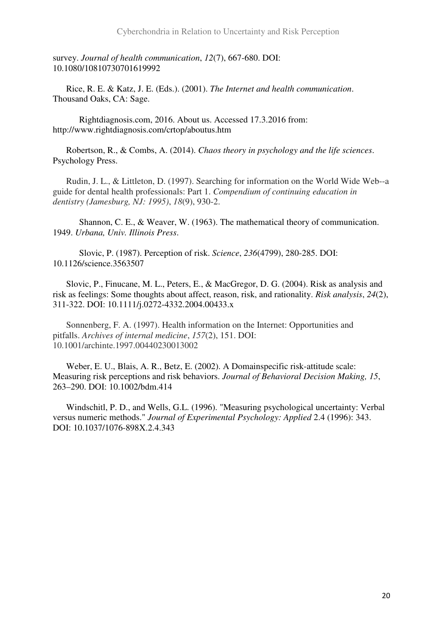survey. *Journal of health communication*, *12*(7), 667-680. DOI: 10.1080/10810730701619992

Rice, R. E. & Katz, J. E. (Eds.). (2001). *The Internet and health communication*. Thousand Oaks, CA: Sage.

 Rightdiagnosis.com, 2016. About us. Accessed 17.3.2016 from: http://www.rightdiagnosis.com/crtop/aboutus.htm

Robertson, R., & Combs, A. (2014). *Chaos theory in psychology and the life sciences*. Psychology Press.

Rudin, J. L., & Littleton, D. (1997). Searching for information on the World Wide Web--a guide for dental health professionals: Part 1. *Compendium of continuing education in dentistry (Jamesburg, NJ: 1995)*, *18*(9), 930-2.

Shannon, C. E., & Weaver, W. (1963). The mathematical theory of communication. 1949. *Urbana, Univ. Illinois Press*.

Slovic, P. (1987). Perception of risk. *Science*, *236*(4799), 280-285. DOI: 10.1126/science.3563507

Slovic, P., Finucane, M. L., Peters, E., & MacGregor, D. G. (2004). Risk as analysis and risk as feelings: Some thoughts about affect, reason, risk, and rationality. *Risk analysis*, *24*(2), 311-322. DOI: 10.1111/j.0272-4332.2004.00433.x

Sonnenberg, F. A. (1997). Health information on the Internet: Opportunities and pitfalls. *Archives of internal medicine*, *157*(2), 151. DOI: 10.1001/archinte.1997.00440230013002

Weber, E. U., Blais, A. R., Betz, E. (2002). A Domainspecific risk-attitude scale: Measuring risk perceptions and risk behaviors. *Journal of Behavioral Decision Making, 15*, 263–290. DOI: 10.1002/bdm.414

Windschitl, P. D., and Wells, G.L. (1996). "Measuring psychological uncertainty: Verbal versus numeric methods." *Journal of Experimental Psychology: Applied* 2.4 (1996): 343. DOI: 10.1037/1076-898X.2.4.343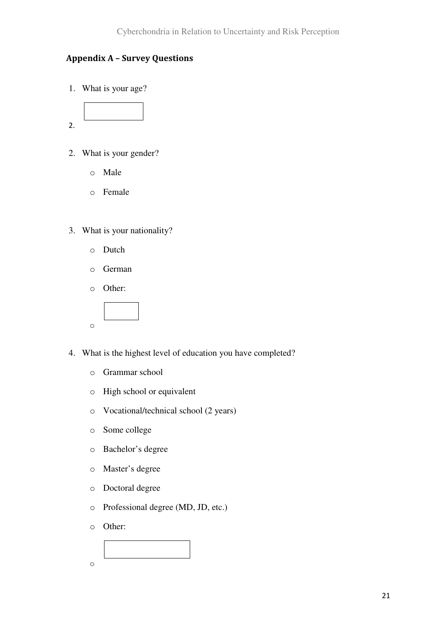# **Appendix A – Survey Questions**

1. What is your age?



- 2. What is your gender?
	- o Male
	- o Female
- 3. What is your nationality?
	- o Dutch
	- o German
	- o Other:



- 4. What is the highest level of education you have completed?
	- o Grammar school
	- o High school or equivalent
	- o Vocational/technical school (2 years)
	- o Some college
	- o Bachelor's degree
	- o Master's degree
	- o Doctoral degree
	- o Professional degree (MD, JD, etc.)
	- o Other:

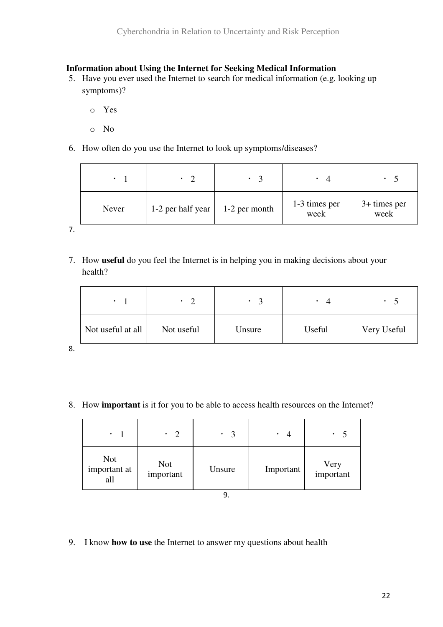# **Information about Using the Internet for Seeking Medical Information**

- 5. Have you ever used the Internet to search for medical information (e.g. looking up symptoms)?
	- o Yes
	- o No
- 6. How often do you use the Internet to look up symptoms/diseases?

| Never | 1-2 per half year $\vert$ | 1-2 per month | 1-3 times per<br>week | $3+$ times per<br>week |
|-------|---------------------------|---------------|-----------------------|------------------------|

7.

7. How **useful** do you feel the Internet is in helping you in making decisions about your health?

| $\bullet$         | $\gamma$<br>$\bullet$ | $\mathbf{z}$ | $\Delta$<br>٠ | ٠           |
|-------------------|-----------------------|--------------|---------------|-------------|
| Not useful at all | Not useful            | Unsure       | Useful        | Very Useful |

8.

8. How **important** is it for you to be able to access health resources on the Internet?

| $\bullet$                         | $\overline{2}$<br>$\bullet$ | $\mathbf{R}$<br>٠ | Δ<br>٠    | $\overline{\mathbf{5}}$ |
|-----------------------------------|-----------------------------|-------------------|-----------|-------------------------|
| <b>Not</b><br>important at<br>all | Not<br>important            | Unsure            | Important | Very<br>important       |

9.

9. I know **how to use** the Internet to answer my questions about health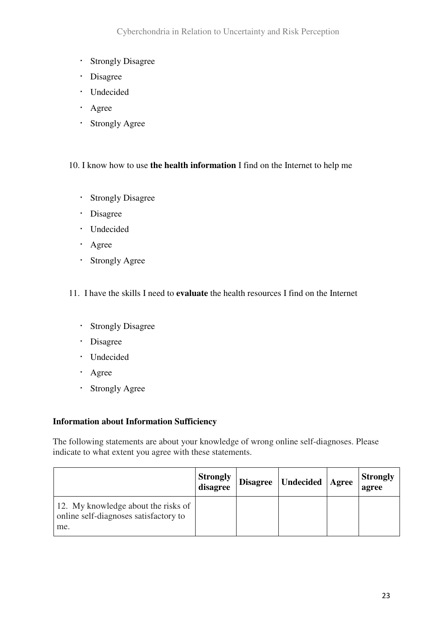- Strongly Disagree
- · Disagree
- Undecided
- · Agree
- Strongly Agree

# 10. I know how to use **the health information** I find on the Internet to help me

- Strongly Disagree
- · Disagree
- Undecided
- · Agree
- Strongly Agree

# 11. I have the skills I need to **evaluate** the health resources I find on the Internet

- **Strongly Disagree**
- · Disagree
- · Undecided
- · Agree
- Strongly Agree

# **Information about Information Sufficiency**

The following statements are about your knowledge of wrong online self-diagnoses. Please indicate to what extent you agree with these statements.

|                                                                                     | <b>Strongly</b><br>disagree | Disagree   Undecided | <b>Agree</b> | <b>Strongly</b><br>agree |
|-------------------------------------------------------------------------------------|-----------------------------|----------------------|--------------|--------------------------|
| 12. My knowledge about the risks of<br>online self-diagnoses satisfactory to<br>me. |                             |                      |              |                          |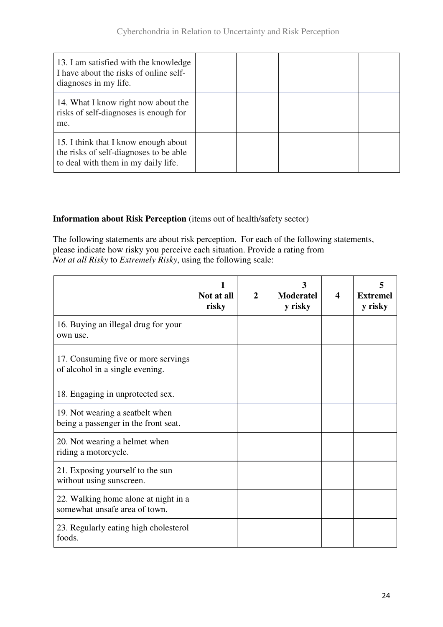| 13. I am satisfied with the knowledge<br>I have about the risks of online self-<br>diagnoses in my life.              |  |  |  |
|-----------------------------------------------------------------------------------------------------------------------|--|--|--|
| 14. What I know right now about the<br>risks of self-diagnoses is enough for<br>me.                                   |  |  |  |
| 15. I think that I know enough about<br>the risks of self-diagnoses to be able<br>to deal with them in my daily life. |  |  |  |

# **Information about Risk Perception** (items out of health/safety sector)

The following statements are about risk perception. For each of the following statements, please indicate how risky you perceive each situation. Provide a rating from *Not at all Risky* to *Extremely Risky*, using the following scale:

|                                                                         | Not at all<br>risky | $\overline{2}$ | ว<br><b>Moderatel</b><br>y risky | 4 | <b>Extremel</b><br>y risky |
|-------------------------------------------------------------------------|---------------------|----------------|----------------------------------|---|----------------------------|
| 16. Buying an illegal drug for your<br>own use.                         |                     |                |                                  |   |                            |
| 17. Consuming five or more servings<br>of alcohol in a single evening.  |                     |                |                                  |   |                            |
| 18. Engaging in unprotected sex.                                        |                     |                |                                  |   |                            |
| 19. Not wearing a seatbelt when<br>being a passenger in the front seat. |                     |                |                                  |   |                            |
| 20. Not wearing a helmet when<br>riding a motorcycle.                   |                     |                |                                  |   |                            |
| 21. Exposing yourself to the sun<br>without using sunscreen.            |                     |                |                                  |   |                            |
| 22. Walking home alone at night in a<br>somewhat unsafe area of town.   |                     |                |                                  |   |                            |
| 23. Regularly eating high cholesterol<br>foods.                         |                     |                |                                  |   |                            |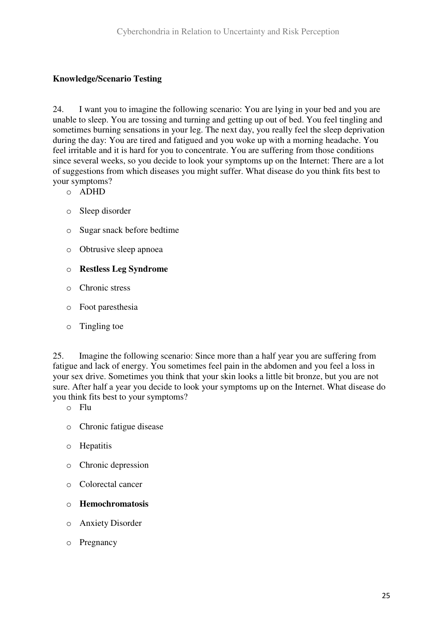# **Knowledge/Scenario Testing**

24. I want you to imagine the following scenario: You are lying in your bed and you are unable to sleep. You are tossing and turning and getting up out of bed. You feel tingling and sometimes burning sensations in your leg. The next day, you really feel the sleep deprivation during the day: You are tired and fatigued and you woke up with a morning headache. You feel irritable and it is hard for you to concentrate. You are suffering from those conditions since several weeks, so you decide to look your symptoms up on the Internet: There are a lot of suggestions from which diseases you might suffer. What disease do you think fits best to your symptoms?

- o ADHD
- o Sleep disorder
- o Sugar snack before bedtime
- o Obtrusive sleep apnoea
- o **Restless Leg Syndrome**
- o Chronic stress
- o Foot paresthesia
- o Tingling toe

25. Imagine the following scenario: Since more than a half year you are suffering from fatigue and lack of energy. You sometimes feel pain in the abdomen and you feel a loss in your sex drive. Sometimes you think that your skin looks a little bit bronze, but you are not sure. After half a year you decide to look your symptoms up on the Internet. What disease do you think fits best to your symptoms?

- o Flu
- o Chronic fatigue disease
- o Hepatitis
- o Chronic depression
- o Colorectal cancer
- o **Hemochromatosis**
- o Anxiety Disorder
- o Pregnancy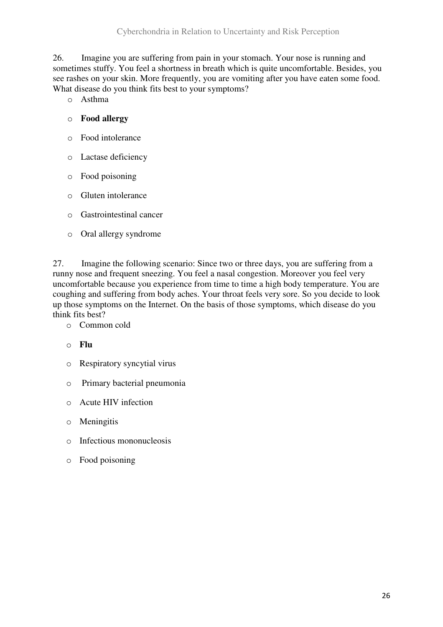26. Imagine you are suffering from pain in your stomach. Your nose is running and sometimes stuffy. You feel a shortness in breath which is quite uncomfortable. Besides, you see rashes on your skin. More frequently, you are vomiting after you have eaten some food. What disease do you think fits best to your symptoms?

o Asthma

# o **Food allergy**

- o Food intolerance
- o Lactase deficiency
- o Food poisoning
- o Gluten intolerance
- o Gastrointestinal cancer
- o Oral allergy syndrome

27. Imagine the following scenario: Since two or three days, you are suffering from a runny nose and frequent sneezing. You feel a nasal congestion. Moreover you feel very uncomfortable because you experience from time to time a high body temperature. You are coughing and suffering from body aches. Your throat feels very sore. So you decide to look up those symptoms on the Internet. On the basis of those symptoms, which disease do you think fits best?

- o Common cold
- o **Flu**
- o Respiratory syncytial virus
- o Primary bacterial pneumonia
- o Acute HIV infection
- o Meningitis
- o Infectious mononucleosis
- o Food poisoning